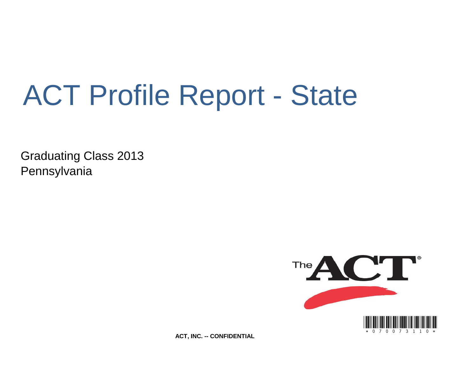# ACT Profile Report - State

Graduating Class 2013 Pennsylvania



**ACT, INC. -- CONFIDENTIAL**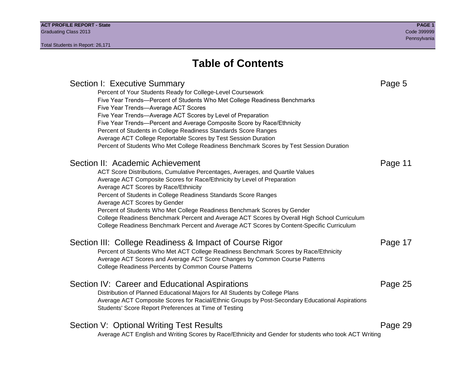# **Table of Contents**

### Section I: Executive Summary **Page 5** and the section I: Executive Summary Percent of Your Students Ready for College-Level Coursework Five Year Trends—Percent of Students Who Met College Readiness Benchmarks Five Year Trends—Average ACT Scores Five Year Trends—Average ACT Scores by Level of Preparation Five Year Trends—Percent and Average Composite Score by Race/Ethnicity Percent of Students in College Readiness Standards Score Ranges Average ACT College Reportable Scores by Test Session Duration Percent of Students Who Met College Readiness Benchmark Scores by Test Session Duration Section II: Academic Achievement **Page 11** Page 11 ACT Score Distributions, Cumulative Percentages, Averages, and Quartile Values Average ACT Composite Scores for Race/Ethnicity by Level of Preparation Average ACT Scores by Race/Ethnicity Percent of Students in College Readiness Standards Score Ranges Average ACT Scores by Gender Percent of Students Who Met College Readiness Benchmark Scores by Gender College Readiness Benchmark Percent and Average ACT Scores by Overall High School Curriculum College Readiness Benchmark Percent and Average ACT Scores by Content-Specific Curriculum Section III: College Readiness & Impact of Course Rigor Page 17 Percent of Students Who Met ACT College Readiness Benchmark Scores by Race/Ethnicity Average ACT Scores and Average ACT Score Changes by Common Course Patterns College Readiness Percents by Common Course Patterns Section IV: Career and Educational Aspirations **Page 25** Page 25 Distribution of Planned Educational Majors for All Students by College Plans Average ACT Composite Scores for Racial/Ethnic Groups by Post-Secondary Educational Aspirations Students' Score Report Preferences at Time of Testing Section V: Optional Writing Test Results **Page 29** Page 29 Average ACT English and Writing Scores by Race/Ethnicity and Gender for students who took ACT Writing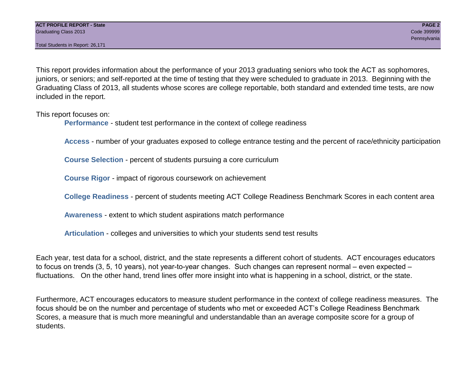Total Students in Report: 26,171

This report provides information about the performance of your 2013 graduating seniors who took the ACT as sophomores, juniors, or seniors; and self-reported at the time of testing that they were scheduled to graduate in 2013. Beginning with the Graduating Class of 2013, all students whose scores are college reportable, both standard and extended time tests, are now included in the report.

This report focuses on:

**Performance** - student test performance in the context of college readiness

**Access** - number of your graduates exposed to college entrance testing and the percent of race/ethnicity participation

**Course Selection** - percent of students pursuing a core curriculum

**Course Rigor** - impact of rigorous coursework on achievement

**College Readiness** - percent of students meeting ACT College Readiness Benchmark Scores in each content area

**Awareness** - extent to which student aspirations match performance

**Articulation** - colleges and universities to which your students send test results

Each year, test data for a school, district, and the state represents a different cohort of students. ACT encourages educators to focus on trends (3, 5, 10 years), not year-to-year changes. Such changes can represent normal – even expected – fluctuations. On the other hand, trend lines offer more insight into what is happening in a school, district, or the state.

Furthermore, ACT encourages educators to measure student performance in the context of college readiness measures. The focus should be on the number and percentage of students who met or exceeded ACT's College Readiness Benchmark Scores, a measure that is much more meaningful and understandable than an average composite score for a group of students.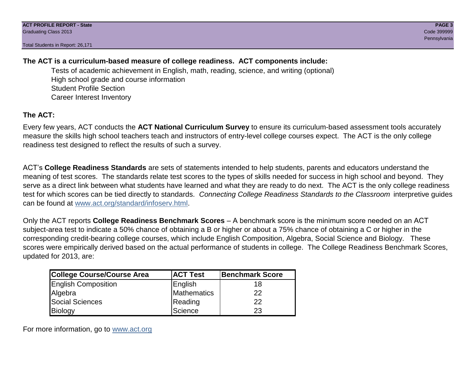Total Students in Report: 26,171

### **The ACT is a curriculum-based measure of college readiness. ACT components include:**

Tests of academic achievement in English, math, reading, science, and writing (optional) High school grade and course information Student Profile Section Career Interest Inventory

### **The ACT:**

Every few years, ACT conducts the **ACT National Curriculum Survey** to ensure its curriculum-based assessment tools accurately measure the skills high school teachers teach and instructors of entry-level college courses expect. The ACT is the only college readiness test designed to reflect the results of such a survey.

ACT's **College Readiness Standards** are sets of statements intended to help students, parents and educators understand the meaning of test scores. The standards relate test scores to the types of skills needed for success in high school and beyond. They serve as a direct link between what students have learned and what they are ready to do next. The ACT is the only college readiness test for which scores can be tied directly to standards. *Connecting College Readiness Standards to the Classroom* interpretive guides can be found at www.act.org/standard/infoserv.html.

Only the ACT reports **College Readiness Benchmark Scores** – A benchmark score is the minimum score needed on an ACT subject-area test to indicate a 50% chance of obtaining a B or higher or about a 75% chance of obtaining a C or higher in the corresponding credit-bearing college courses, which include English Composition, Algebra, Social Science and Biology. These scores were empirically derived based on the actual performance of students in college. The College Readiness Benchmark Scores, updated for 2013, are:

| College Course/Course Area | <b>ACT Test</b> | <b>Benchmark Score</b> |
|----------------------------|-----------------|------------------------|
| <b>English Composition</b> | English         | 18                     |
| Algebra                    | Mathematics     | 22                     |
| <b>Social Sciences</b>     | Reading         | 22                     |
| Biology                    | Science         | 23                     |

For more information, go to www.act.org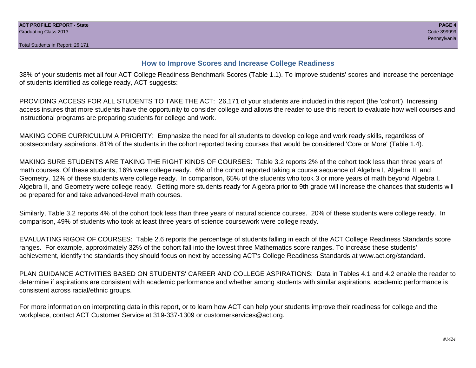#### **How to Improve Scores and Increase College Readiness**

38% of your students met all four ACT College Readiness Benchmark Scores (Table 1.1). To improve students' scores and increase the percentage of students identified as college ready, ACT suggests:

PROVIDING ACCESS FOR ALL STUDENTS TO TAKE THE ACT: 26,171 of your students are included in this report (the 'cohort'). Increasing access insures that more students have the opportunity to consider college and allows the reader to use this report to evaluate how well courses and instructional programs are preparing students for college and work.

MAKING CORE CURRICULUM A PRIORITY: Emphasize the need for all students to develop college and work ready skills, regardless of postsecondary aspirations. 81% of the students in the cohort reported taking courses that would be considered 'Core or More' (Table 1.4).

MAKING SURE STUDENTS ARE TAKING THE RIGHT KINDS OF COURSES: Table 3.2 reports 2% of the cohort took less than three years of math courses. Of these students, 16% were college ready. 6% of the cohort reported taking a course sequence of Algebra I, Algebra II, and Geometry. 12% of these students were college ready. In comparison, 65% of the students who took 3 or more years of math beyond Algebra I, Algebra II, and Geometry were college ready. Getting more students ready for Algebra prior to 9th grade will increase the chances that students will be prepared for and take advanced-level math courses.

Similarly, Table 3.2 reports 4% of the cohort took less than three years of natural science courses. 20% of these students were college ready. In comparison, 49% of students who took at least three years of science coursework were college ready.

EVALUATING RIGOR OF COURSES: Table 2.6 reports the percentage of students falling in each of the ACT College Readiness Standards score ranges. For example, approximately 32% of the cohort fall into the lowest three Mathematics score ranges. To increase these students' achievement, identify the standards they should focus on next by accessing ACT's College Readiness Standards at www.act.org/standard.

PLAN GUIDANCE ACTIVITIES BASED ON STUDENTS' CAREER AND COLLEGE ASPIRATIONS: Data in Tables 4.1 and 4.2 enable the reader to determine if aspirations are consistent with academic performance and whether among students with similar aspirations, academic performance is consistent across racial/ethnic groups.

For more information on interpreting data in this report, or to learn how ACT can help your students improve their readiness for college and the workplace, contact ACT Customer Service at 319-337-1309 or customerservices@act.org.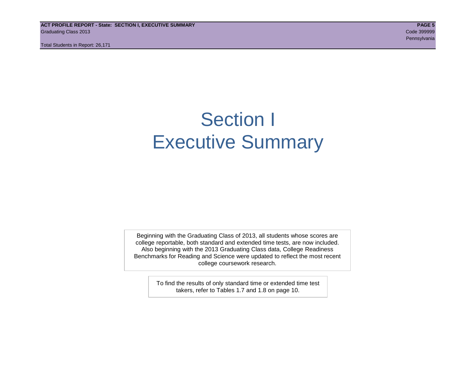**ACT PROFILE REPORT - State: SECTION I, EXECUTIVE SUMMARY PAGE 5** Graduating Class 2013 Code 399999

Total Students in Report: 26,171

# Section I Executive Summary

Beginning with the Graduating Class of 2013, all students whose scores are college reportable, both standard and extended time tests, are now included. Also beginning with the 2013 Graduating Class data, College Readiness Benchmarks for Reading and Science were updated to reflect the most recent college coursework research.

> To find the results of only standard time or extended time test takers, refer to Tables 1.7 and 1.8 on page 10.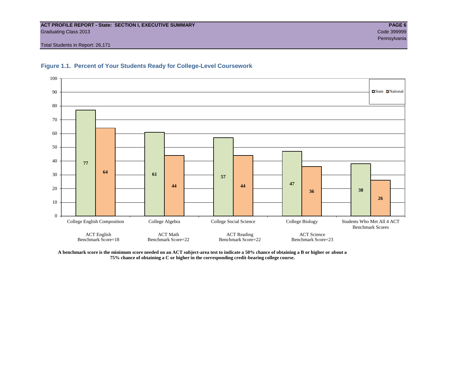#### **ACT PROFILE REPORT - State: SECTION I, EXECUTIVE SUMMARY PAGE 6** Graduating Class 2013 Code 399999

Total Students in Report: 26,171





**A benchmark score is the minimum score needed on an ACT subject-area test to indicate a 50% chance of obtaining a B or higher or about a 75% chance of obtaining a C or higher in the corresponding credit-bearing college course.**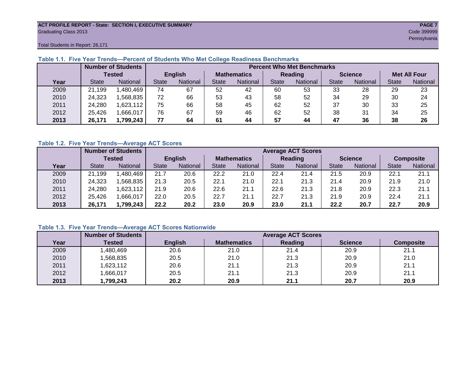#### **ACT PROFILE REPORT - State: SECTION I, EXECUTIVE SUMMARY PAGE 7** Graduating Class 2013 Code 399999

Total Students in Report: 26,171

|      |              | <b>Number of Students</b><br><b>Percent Who Met Benchmarks</b> |                |          |                    |                 |                |          |                |          |                     |          |
|------|--------------|----------------------------------------------------------------|----------------|----------|--------------------|-----------------|----------------|----------|----------------|----------|---------------------|----------|
|      |              | <b>Tested</b>                                                  | <b>English</b> |          | <b>Mathematics</b> |                 | <b>Reading</b> |          | <b>Science</b> |          | <b>Met All Four</b> |          |
| Year | <b>State</b> | <b>National</b>                                                | <b>State</b>   | National | <b>State</b>       | <b>National</b> | <b>State</b>   | National | <b>State</b>   | National | <b>State</b>        | National |
| 2009 | 21,199       | .480,469                                                       | 74             | 67       | 52                 | 42              | 60             | 53       | 33             | 28       | 29                  | 23       |
| 2010 | 24,323       | .568.835                                                       | 72             | 66       | 53                 | 43              | 58             | 52       | 34             | 29       | 30                  | 24       |
| 2011 | 24,280       | .623,112                                                       | 75             | 66       | 58                 | 45              | 62             | 52       | 37             | 30       | 33                  | 25       |
| 2012 | 25,426       | .666,017                                                       | 76             | 67       | 59                 | 46              | 62             | 52       | 38             | 31       | 34                  | 25       |
| 2013 | 26,171       | 1,799,243                                                      | 77             | 64       | 61                 | 44              | 57             | 44       | 47             | 36       | 38                  | 26       |

#### **Table 1.1. Five Year Trends—Percent of Students Who Met College Readiness Benchmarks**

#### **Table 1.2. Five Year Trends—Average ACT Scores**

|      |              | <b>Number of Students</b> |                | <b>Average ACT Scores</b> |                    |          |                                 |      |                |          |                  |          |
|------|--------------|---------------------------|----------------|---------------------------|--------------------|----------|---------------------------------|------|----------------|----------|------------------|----------|
|      |              | Tested                    | <b>English</b> |                           | <b>Mathematics</b> |          | <b>Reading</b>                  |      | <b>Science</b> |          | <b>Composite</b> |          |
| Year | <b>State</b> | <b>National</b>           | <b>State</b>   | National<br>State         |                    | National | <b>State</b><br><b>National</b> |      | <b>State</b>   | National | <b>State</b>     | National |
| 2009 | 21,199       | .480,469                  | 21.7           | 20.6                      | 22.2               | 21.0     | 22.4                            | 21.4 | 21.5           | 20.9     | 22.1             | 21.1     |
| 2010 | 24,323       | .568.835                  | 21.3           | 20.5                      | 22.1               | 21.0     | 22.1                            | 21.3 | 21.4           | 20.9     | 21.9             | 21.0     |
| 2011 | 24,280       | .623,112                  | 21.9           | 20.6                      | 22.6               | 21.1     | 22.6                            | 21.3 | 21.8           | 20.9     | 22.3             | 21.1     |
| 2012 | 25,426       | ,666,017                  | 22.0           | 20.5                      | 22.7               | 21.1     | 22.7                            | 21.3 | 21.9           | 20.9     | 22.4             | 21.1     |
| 2013 | 26,171       | 1,799.243                 | 22.2           | 20.2                      | 23.0               | 20.9     | 23.0                            | 21.1 | 22.2           | 20.7     | 22.7             | 20.9     |

#### **Table 1.3. Five Year Trends—Average ACT Scores Nationwide**

|      | <b>Number of Students</b> |                | <b>Average ACT Scores</b> |         |                |                  |  |  |  |  |  |  |
|------|---------------------------|----------------|---------------------------|---------|----------------|------------------|--|--|--|--|--|--|
| Year | Tested                    | <b>English</b> | <b>Mathematics</b>        | Reading | <b>Science</b> | <b>Composite</b> |  |  |  |  |  |  |
| 2009 | ,480,469                  | 20.6           | 21.0                      | 21.4    | 20.9           | 21.1             |  |  |  |  |  |  |
| 2010 | ,568,835                  | 20.5           | 21.0                      | 21.3    | 20.9           | 21.0             |  |  |  |  |  |  |
| 2011 | ,623,112                  | 20.6           | 21.1                      | 21.3    | 20.9           | 21.1             |  |  |  |  |  |  |
| 2012 | ,666,017                  | 20.5           | 21.1                      | 21.3    | 20.9           | 21.1             |  |  |  |  |  |  |
| 2013 | 1,799,243                 | 20.2           | 20.9                      | 21.1    | 20.7           | 20.9             |  |  |  |  |  |  |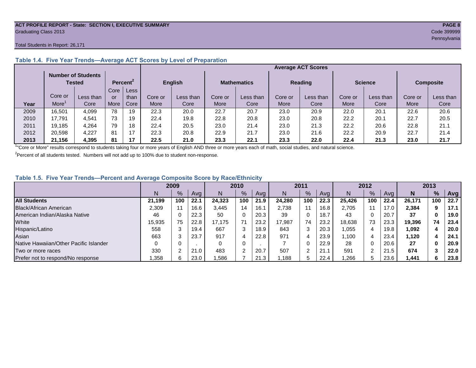#### **ACT PROFILE REPORT - State: SECTION I, EXECUTIVE SUMMARY PAGE 8** Graduating Class 2013 Code 399999

#### Total Students in Report: 26,171

|      |         | <b>Number of Students</b><br>Tested |      | Percent <sup>2</sup> | <b>English</b> |           | <b>Mathematics</b> |           | <b>Reading</b> |           | <b>Science</b> |           | <b>Composite</b> |           |
|------|---------|-------------------------------------|------|----------------------|----------------|-----------|--------------------|-----------|----------------|-----------|----------------|-----------|------------------|-----------|
|      |         |                                     | Core | Less                 |                |           |                    |           |                |           |                |           |                  |           |
|      | Core or | Less than                           | or   | than                 | Core or        | Less than | Core or            | Less than | Core or        | Less than | Core or        | Less than | Core or          | Less than |
| Year | More    | Core                                | More | Core                 | <b>More</b>    | Core      | More               | Core      | More           | Core      | More           | Core      | More             | Core      |
| 2009 | 16,501  | 4,099                               | 78   | 19                   | 22.3           | 20.0      | 22.7               | 20.7      | 23.0           | 20.9      | 22.0           | 20.1      | 22.6             | 20.6      |
| 2010 | 17.791  | 4.541                               | 73   | 19                   | 22.4           | 19.8      | 22.8               | 20.8      | 23.0           | 20.8      | 22.2           | 20.1      | 22.7             | 20.5      |
| 2011 | 19,185  | 4,264                               | 79   | 18                   | 22.4           | 20.5      | 23.0               | 21.4      | 23.0           | 21.3      | 22.2           | 20.6      | 22.8             | 21.1      |
| 2012 | 20,598  | 4.227                               | 81   | 17                   | 22.3           | 20.8      | 22.9               | 21.7      | 23.0           | 21.6      | 22.2           | 20.9      | 22.7             | 21.4      |
| 2013 | 21.156  | 4,395                               | 81   | 17                   | 22.5           | 21.0      | 23.3               | 22.1      | 23.3           | 22.0      | 22.4           | 21.3      | 23.0             | 21.7      |

#### **Table 1.4. Five Year Trends—Average ACT Scores by Level of Preparation**

<sup>1</sup>"Core or More" results correspond to students taking four or more years of English AND three or more years each of math, social studies, and natural science.

 $2$ Percent of all students tested. Numbers will not add up to 100% due to student non-response.

#### **Table 1.5. Five Year Trends—Percent and Average Composite Score by Race/Ethnicity**

|                                        |        | 2009 |      |        | 2010          |      | 2011   |     | 2012 |        |     | 2013 |        |     |      |
|----------------------------------------|--------|------|------|--------|---------------|------|--------|-----|------|--------|-----|------|--------|-----|------|
|                                        | N      | %    | Avg  | N      | $\frac{9}{6}$ | Avg  | N      | %   | Avg  | N      | %   | Ava  | N      | %   | Avg  |
| <b>All Students</b>                    | 21.199 | 100  | 22.1 | 24.323 | 100           | 21.9 | 24.280 | 100 | 22.3 | 25.426 | 100 | 22.4 | 26.171 | 100 | 22.7 |
| Black/African American                 | 2,309  |      | 16.6 | 3.445  | 14            | 16.1 | 2,738  |     | 16.8 | 2.705  | 11  | 17.0 | 2,384  | 9   | 17.1 |
| American Indian/Alaska Native          | 46     |      | 22.3 | 50     | $\Omega$      | 20.3 | 39     | 0   | 18.7 | 43     | 0   | 20.7 | 37     |     | 19.0 |
| White                                  | 15,935 | 75   | 22.8 | 17.175 | 71            | 23.2 | 17,987 | 74  | 23.2 | 18.638 | 73  | 23.3 | 19,396 | 74  | 23.4 |
| Hispanic/Latino                        | 558    |      | 19.4 | 667    | 3             | 18.9 | 843    |     | 20.3 | 1,055  | 4   | 19.8 | 1,092  | 4   | 20.0 |
| Asian                                  | 663    |      | 23.7 | 917    | 4             | 22.8 | 971    |     | 23.9 | ,100   | 4   | 23.4 | 1,120  |     | 24.1 |
| Native Hawaiian/Other Pacific Islander |        |      |      |        | 0             |      |        | 0   | 22.9 | 28     | 0   | 20.6 | 27     |     | 20.9 |
| Two or more races                      | 330    |      | 21.0 | 483    | $\sim$        | 20.7 | 507    | ົ   | 21.  | 591    | ົ   | 21.5 | 674    |     | 22.0 |
| Prefer not to respond/No response      | ,358   |      | 23.0 | .586   |               | 21.3 | 188    | 5   | 22.4 | ,266   | b.  | 23.6 | 1,441  | 6   | 23.8 |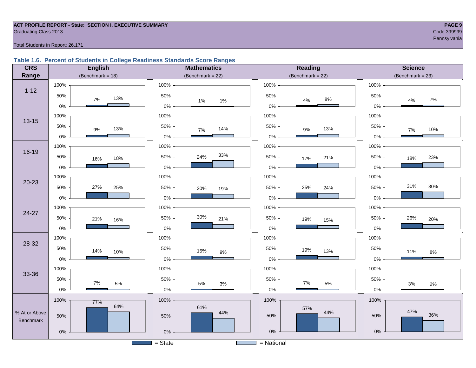#### **ACT PROFILE REPORT - State: SECTION I, EXECUTIVE SUMMARY PAGE 9** Code 399999 Craduating Class 2013

#### Total Students in Report: 26,171

### **Table 1.6. Percent of Students in College Readiness Standards Score Ranges**

| <b>CRS</b>    | <b>English</b>       | <b>Mathematics</b>     | <b>Reading</b>      | <b>Science</b>      |
|---------------|----------------------|------------------------|---------------------|---------------------|
| Range         | (Benchmark = $18$ )  | (Benchmark = $22$ )    | (Benchmark = $22$ ) | $(Benchmark = 23)$  |
|               | 100%                 | 100%                   | 100%                | 100%                |
| $1 - 12$      | 50%<br>13%<br>7%     | 50%<br>$1\%$<br>$1\%$  | 50%<br>$8\%$<br>4%  | 50%<br>7%<br>4%     |
|               | $0\%$                | $0\%$                  | $0\%$               | 0%                  |
| $13 - 15$     | 100%                 | 100%                   | 100%                | 100%                |
|               | 50%<br>13%<br>$9\%$  | 50%<br>14%<br>$7\%$    | 50%<br>13%<br>$9\%$ | 50%<br>10%<br>$7\%$ |
|               | $0\%$                | $0\%$                  | $0\%$               | $0\%$               |
|               | 100%                 | 100%                   | 100%                | 100%                |
| 16-19         | 50%<br>18%<br>16%    | 33%<br>50%<br>24%      | 50%<br>21%<br>17%   | 50%<br>23%<br>18%   |
|               | $0\%$                | $0\%$                  | $0\%$               | 0%                  |
|               | 100%                 | 100%                   | 100%                | 100%                |
| $20 - 23$     | 27%<br>50%<br>25%    | 50%                    | 50%<br>25%<br>24%   | 31%<br>30%<br>50%   |
|               | 0%                   | 20%<br>19%<br>$0\%$    | $0\%$               | 0%                  |
|               |                      |                        |                     |                     |
| 24-27         | 100%                 | 100%                   | 100%                | 100%                |
|               | 50%<br>21%<br>16%    | 30%<br>50%<br>21%      | 50%<br>19%<br>15%   | 50%<br>26%<br>20%   |
|               | 0%                   | $0\%$                  | $0\%$               | 0%                  |
| 28-32         | 100%                 | 100%                   | 100%                | 100%                |
|               | 50%<br>14%<br>10%    | 50%<br>15%<br>$9\%$    | 50%<br>19%<br>13%   | 50%<br>11%<br>$8\%$ |
|               | $0\%$                | $0\%$                  | $0\%$               | 0%                  |
|               | 100%                 | 100%                   | 100%                | 100%                |
| 33-36         | 50%                  | 50%                    | 50%                 | 50%                 |
|               | $7\%$<br>$5\%$<br>0% | $5\%$<br>$3%$<br>$0\%$ | 7%<br>5%<br>$0\%$   | 3%<br>2%<br>0%      |
|               | 100%                 | 100%                   | 100%                | 100%                |
|               | 77%<br>64%           | 61%                    | 57%                 |                     |
| % At or Above | 50%                  | 44%<br>50%             | 44%<br>50%          | 47%<br>36%<br>50%   |
| Benchmark     |                      |                        |                     |                     |
|               | $0\%$                | $0\%$                  | $0\%$               | $0\%$               |
|               |                      | $=$ State              | $=$ National        |                     |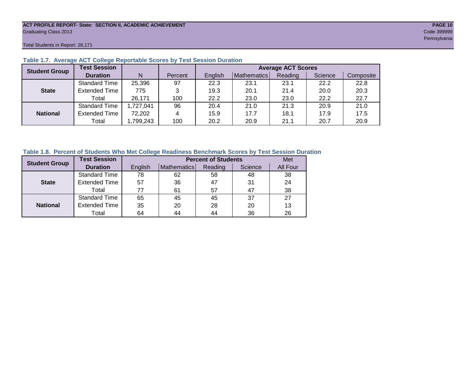#### **ACT PROFILE REPORT- State: SECTION II, ACADEMIC ACHIEVEMENT PAGE 10** Graduating Class 2013 Code 399999

Total Students in Report: 26,171

| <b>Student Group</b> | <b>Test Session</b>  |           |         | <b>Average ACT Scores</b> |             |         |         |           |  |  |  |  |
|----------------------|----------------------|-----------|---------|---------------------------|-------------|---------|---------|-----------|--|--|--|--|
|                      | <b>Duration</b>      | N         | Percent | English                   | Mathematics | Reading | Science | Composite |  |  |  |  |
|                      | <b>Standard Time</b> | 25,396    | 97      | 22.3                      | 23.1        | 23.1    | 22.2    | 22.8      |  |  |  |  |
| <b>State</b>         | <b>Extended Time</b> | 775       | 3       | 19.3                      | 20.1        | 21.4    | 20.0    | 20.3      |  |  |  |  |
|                      | Total                | 26,171    | 100     | 22.2                      | 23.0        | 23.0    | 22.2    | 22.7      |  |  |  |  |
|                      | <b>Standard Time</b> | 1,727,041 | 96      | 20.4                      | 21.0        | 21.3    | 20.9    | 21.0      |  |  |  |  |
| <b>National</b>      | <b>Extended Time</b> | 72,202    | 4       | 15.9                      | 17.7        | 18.1    | 17.9    | 17.5      |  |  |  |  |
|                      | Total                | ,799,243  | 100     | 20.2                      | 20.9        | 21.1    | 20.7    | 20.9      |  |  |  |  |

#### **Table 1.7. Average ACT College Reportable Scores by Test Session Duration**

#### **Table 1.8. Percent of Students Who Met College Readiness Benchmark Scores by Test Session Duration**

| <b>Student Group</b> | <b>Test Session</b>  |         |             | <b>Percent of Students</b> |         | Met      |
|----------------------|----------------------|---------|-------------|----------------------------|---------|----------|
|                      | <b>Duration</b>      | English | Mathematics | Reading                    | Science | All Four |
|                      | Standard Time        | 78      | 62          | 58                         | 48      | 38       |
| <b>State</b>         | <b>Extended Time</b> | 57      | 36          | 47                         | 31      | 24       |
|                      | Total                | 77      | 61          | 57                         | 47      | 38       |
|                      | Standard Time        | 65      | 45          | 45                         | 37      | 27       |
| <b>National</b>      | <b>Extended Time</b> | 35      | 20          | 28                         | 20      | 13       |
|                      | Total                | 64      | 44          | 44                         | 36      | 26       |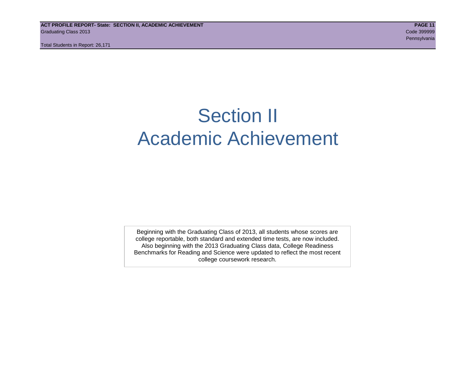**ACT PROFILE REPORT- State: SECTION II, ACADEMIC ACHIEVEMENT PAGE 11** Graduating Class 2013 Code 399999

Total Students in Report: 26,171

# Section II Academic Achievement

Beginning with the Graduating Class of 2013, all students whose scores are college reportable, both standard and extended time tests, are now included. Also beginning with the 2013 Graduating Class data, College Readiness Benchmarks for Reading and Science were updated to reflect the most recent college coursework research.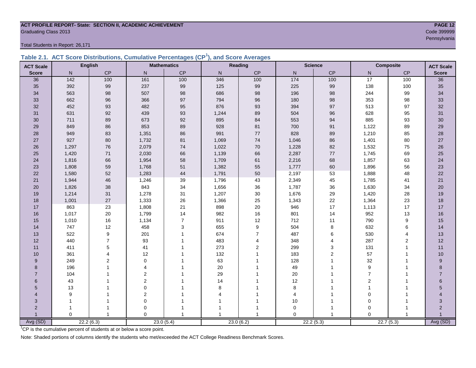## **ACT PROFILE REPORT- State: SECTION II, ACADEMIC ACHIEVEMENT PAGE 12** Graduating Class 2013 Code 399999

Total Students in Report: 26,171

|  | Table 2.1. ACT Score Distributions, Cumulative Percentages (CP <sup>1</sup> ), and Score Averages |  |  |  |
|--|---------------------------------------------------------------------------------------------------|--|--|--|
|  |                                                                                                   |  |  |  |

| <b>ACT Scale</b> |                 | <b>English</b> |                  | <b>Mathematics</b> |                | <b>Reading</b> |                   | <b>Science</b> |                | Composite      | <b>ACT Scale</b> |
|------------------|-----------------|----------------|------------------|--------------------|----------------|----------------|-------------------|----------------|----------------|----------------|------------------|
| <b>Score</b>     | N               | <b>CP</b>      | N                | CP                 | N <sub>1</sub> | CP             | $\mathsf{N}$      | CP             | N              | CP             | <b>Score</b>     |
| 36               | $\frac{142}{ }$ | 100            | 161              | 100                | 346            | 100            | $\frac{174}{174}$ | 100            | 17             | 100            | 36               |
| 35               | 392             | 99             | 237              | 99                 | 125            | 99             | 225               | 99             | 138            | 100            | 35               |
| 34               | 563             | 98             | 507              | 98                 | 686            | 98             | 196               | 98             | 244            | 99             | 34               |
| 33               | 662             | 96             | 366              | 97                 | 794            | 96             | 180               | 98             | 353            | 98             | 33               |
| 32               | 452             | 93             | 482              | 95                 | 876            | 93             | 394               | 97             | 513            | 97             | 32               |
| 31               | 631             | 92             | 439              | 93                 | 1,244          | 89             | 504               | 96             | 628            | 95             | 31               |
| 30               | 711             | 89             | 673              | 92                 | 895            | 84             | 553               | 94             | 885            | 93             | 30               |
| 29               | 849             | 86             | 853              | 89                 | 928            | 81             | 700               | 91             | 1,122          | 89             | 29               |
| 28               | 949             | 83             | 1,351            | 86                 | 991            | $77$           | 828               | 89             | 1,210          | 85             | 28               |
| 27               | 927             | 80             | 1,732            | 81                 | 1,069          | 74             | 1,046             | 86             | 1,401          | 80             | $27\,$           |
| 26               | 1,297           | 76             | 2,079            | 74                 | 1,022          | 70             | 1,228             | 82             | 1,532          | 75             | $26\,$           |
| 25               | 1,420           | 71             | 2,030            | 66                 | 1,139          | 66             | 2,287             | 77             | 1,745          | 69             | 25               |
| 24               | 1,816           | 66             | 1,954            | 58                 | 1,709          | 61             | 2,216             | 68             | 1,857          | 63             | 24               |
| 23               | 1,808           | 59             | 1,768            | 51                 | 1,382          | 55             | 1,777             | 60             | 1,896          | 56             | 23               |
| 22               | 1,580           | 52             | 1,283            | 44                 | 1,791          | 50             | 2,197             | 53             | 1,888          | 48             | 22               |
| 21               | 1,944           | 46             | 1,246            | 39                 | 1,796          | 43             | 2,349             | 45             | 1,785          | 41             | 21               |
| 20               | 1,826           | 38             | 843              | 34                 | 1,656          | 36             | 1,787             | 36             | 1,630          | 34             | 20               |
| 19               | 1,214           | 31             | 1,278            | 31                 | 1,207          | 30             | 1,676             | 29             | 1,420          | 28             | 19               |
| 18               | 1,001           | 27             | 1,333            | 26                 | 1,366          | 25             | 1,343             | 22             | 1,364          | 23             | 18               |
| 17               | 863             | 23             | 1,808            | 21                 | 898            | 20             | 946               | 17             | 1,113          | 17             | 17               |
| 16               | 1,017           | 20             | 1,799            | 14                 | 982            | 16             | 801               | 14             | 952            | 13             | 16               |
| 15               | 1,010           | 16             | 1,134            | $\overline{7}$     | 911            | 12             | 712               | 11             | 790            | 9              | 15               |
| 14               | 747             | 12             | 458              | 3                  | 655            | 9              | 504               | 8              | 632            | 6              | 14               |
| 13               | 522             | 9              | 201              |                    | 674            | $\overline{7}$ | 487               | 6              | 530            | $\overline{4}$ | 13               |
| 12               | 440             | $\overline{7}$ | 93               |                    | 483            | 4              | 348               | $\overline{4}$ | 287            | 2              | 12               |
| 11               | 411             | 5              | 41               |                    | 273            | $\overline{2}$ | 299               | 3              | 131            | $\mathbf{1}$   | 11               |
| 10               | 361             | $\overline{4}$ | 12               |                    | 132            | 1              | 183               | $\overline{2}$ | 57             | 1              | 10               |
| 9                | 249             | $\overline{2}$ | $\mathbf 0$      |                    | 63             |                | 128               | 1              | 32             | 1              | $\boldsymbol{9}$ |
| 8                | 196             |                | 4                |                    | $20\,$         |                | 49                | 1              | 9              |                | 8                |
| $\overline{7}$   | 104             |                | $\overline{c}$   |                    | 29             |                | 20                |                | $\overline{7}$ |                | $\overline{7}$   |
| 6                | 43              |                | $\overline{2}$   |                    | 14             |                | 12                |                | $\mathbf{2}$   |                | 6                |
| 5                | 13              |                | $\mathbf 0$      |                    | 8              |                | 8                 |                | $\overline{1}$ |                | 5                |
| 4                | 9               |                | $\boldsymbol{2}$ |                    |                |                | 4                 |                | $\mathbf 0$    |                |                  |
| 3                | 1               |                | 0                |                    |                |                | 10                | 1              | $\mathbf 0$    |                | 3                |
| $\overline{2}$   |                 |                | 0                |                    |                |                | $\mathbf 0$       | 1              | $\mathbf 0$    |                | $\overline{2}$   |
|                  | $\Omega$        | $\overline{1}$ | $\Omega$         |                    | 1              | 1              | $\Omega$          | $\overline{1}$ | $\Omega$       |                |                  |
| Avg (SD)         |                 | 22.2(6.3)      |                  | 23.0(5.4)          |                | 23.0(6.2)      |                   | 22.2(5.3)      |                | 22.7(5.3)      | Avg (SD)         |

<sup>1</sup>CP is the cumulative percent of students at or below a score point.

Note: Shaded portions of columns identify the students who met/exceeded the ACT College Readiness Benchmark Scores.

Pennsylvania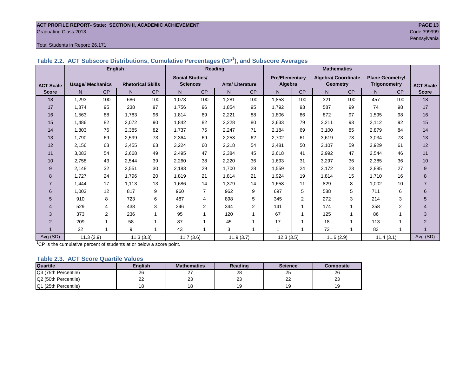# **ACT PROFILE REPORT- State: SECTION II, ACADEMIC ACHIEVEMENT PAGE 13** Graduating Class 2013 Code 399999

#### Total Students in Report: 26,171

|                  |                         | <b>English</b> |                          |     |                        |                | <b>Reading</b>         |                | <b>Mathematics</b>    |     |                     |           |                        |                |                  |
|------------------|-------------------------|----------------|--------------------------|-----|------------------------|----------------|------------------------|----------------|-----------------------|-----|---------------------|-----------|------------------------|----------------|------------------|
|                  |                         |                |                          |     | <b>Social Studies/</b> |                |                        |                | <b>Pre/Elementary</b> |     | Algebra/ Coordinate |           | <b>Plane Geometry/</b> |                |                  |
| <b>ACT Scale</b> | <b>Usage/ Mechanics</b> |                | <b>Rhetorical Skills</b> |     | <b>Sciences</b>        |                | <b>Arts/Literature</b> |                | Algebra               |     | <b>Geometry</b>     |           | <b>Trigonometry</b>    |                | <b>ACT Scale</b> |
| <b>Score</b>     | N.                      | CP             | N                        | CP  | N                      | CP             | N                      | CP             | N                     | CP  | N                   | <b>CP</b> | N                      | CP             | <b>Score</b>     |
| 18               | 1,293                   | 100            | 686                      | 100 | 1,073                  | 100            | 1,281                  | 100            | 1,853                 | 100 | 321                 | 100       | 457                    | 100            | 18               |
| 17               | 1.874                   | 95             | 238                      | 97  | 1.756                  | 96             | 1.854                  | 95             | 1.792                 | 93  | 587                 | 99        | 74                     | 98             | 17               |
| 16               | 1,563                   | 88             | 1,783                    | 96  | 1,814                  | 89             | 2,221                  | 88             | 1,806                 | 86  | 872                 | 97        | 1,595                  | 98             | 16               |
| 15               | 1,486                   | 82             | 2,072                    | 90  | 1,842                  | 82             | 2,228                  | 80             | 2,633                 | 79  | 2,211               | 93        | 2,112                  | 92             | 15               |
| 14               | 1,803                   | 76             | 2,385                    | 82  | 1,737                  | 75             | 2,247                  | 71             | 2,184                 | 69  | 3,100               | 85        | 2,879                  | 84             | 14               |
| 13               | 1,790                   | 69             | 2,599                    | 73  | 2,364                  | 69             | 2,253                  | 62             | 2,702                 | 61  | 3,619               | 73        | 3,034                  | 73             | 13               |
| 12               | 2,156                   | 63             | 3,455                    | 63  | 3,224                  | 60             | 2,218                  | 54             | 2,481                 | 50  | 3,107               | 59        | 3,929                  | 61             | 12               |
| 11               | 3,083                   | 54             | 2,668                    | 49  | 2,495                  | 47             | 2,384                  | 45             | 2,618                 | 41  | 2,992               | 47        | 2,544                  | 46             | 11               |
| 10               | 2,758                   | 43             | 2,544                    | 39  | 2,260                  | 38             | 2,220                  | 36             | 1,693                 | 31  | 3,297               | 36        | 2,385                  | 36             | 10               |
| 9                | 2,148                   | 32             | 2,551                    | 30  | 2,183                  | 29             | 1.700                  | 28             | 1,559                 | 24  | 2,172               | 23        | 2,885                  | 27             | 9                |
| 8                | 1,727                   | 24             | 1.796                    | 20  | 1,819                  | 21             | 1,814                  | 21             | 1,924                 | 19  | 1,814               | 15        | 1,710                  | 16             | 8                |
| 7                | 1,444                   | 17             | 1.113                    | 13  | 1,686                  | 14             | 1,379                  | 14             | 1,658                 | 11  | 829                 | 8         | 1,002                  | 10             | $\overline{7}$   |
| 6                | 1,003                   | 12             | 817                      | 9   | 960                    | $\overline{7}$ | 962                    | 9              | 697                   | 5   | 588                 | 5         | 711                    | 6              | 6                |
| 5                | 910                     | 8              | 723                      | 6   | 487                    | 4              | 898                    | 5              | 345                   | 2   | 272                 | 3         | 214                    | 3              | 5                |
| $\overline{4}$   | 529                     | 4              | 438                      | 3   | 246                    | $\overline{2}$ | 344                    | $\overline{2}$ | 141                   |     | 174                 | 1         | 358                    | $\overline{2}$ | $\overline{4}$   |
| 3                | 373                     | 2              | 236                      |     | 95                     |                | 120                    |                | 67                    |     | 125                 | 1         | 86                     |                | 3                |
| $\overline{2}$   | 209                     |                | 58                       |     | 87                     |                | 45                     |                | 17                    |     | 18                  | 1         | 113                    |                | $\overline{2}$   |
|                  | 22                      |                | 9                        |     | 43                     |                | 3                      |                | $\overline{ }$        |     | 73                  | 4         | 83                     | 1              |                  |
| Avg (SD)         | 11.3(3.9)               |                | 11.3(3.3)                |     | 11.7(3.6)              |                | 11.9(3.7)              |                | 12.3(3.5)             |     | 11.6(2.9)           |           | 11.4(3.1)              |                | Avg (SD)         |

<sup>1</sup>CP is the cumulative percent of students at or below a score point.

#### **Table 2.3. ACT Score Quartile Values**

| <b>Quartile</b>      | Enalish | <b>Mathematics</b> | Reading  | <b>Science</b> | Composite |
|----------------------|---------|--------------------|----------|----------------|-----------|
| Q3 (75th Percentile) | 26      | - 1                | 28       | 25             | 26        |
| Q2 (50th Percentile) | 22      | ົ<br>ںے            | nr<br>ںے | nn<br>--       | ົ<br>دے   |
| Q1 (25th Percentile) |         |                    |          | 19             |           |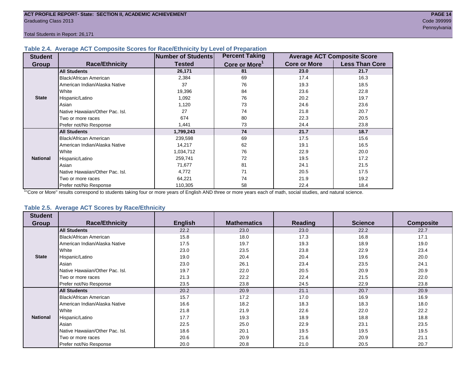Total Students in Report: 26,171

#### **Table 2.4. Average ACT Composite Scores for Race/Ethnicity by Level of Preparation**

| <b>Student</b>  |                                 | Number of Students | <b>Percent Taking</b>     |                     | <b>Average ACT Composite Score</b> |
|-----------------|---------------------------------|--------------------|---------------------------|---------------------|------------------------------------|
| <b>Group</b>    | <b>Race/Ethnicity</b>           | <b>Tested</b>      | Core or More <sup>1</sup> | <b>Core or More</b> | <b>Less Than Core</b>              |
|                 | <b>All Students</b>             | 26,171             | 81                        | 23.0                | 21.7                               |
|                 | <b>Black/African American</b>   | 2,384              | 69                        | 17.4                | 16.3                               |
|                 | American Indian/Alaska Native   | 37                 | 76                        | 19.3                | 18.5                               |
|                 | White                           | 19,396             | 84                        | 23.6                | 22.8                               |
| <b>State</b>    | Hispanic/Latino                 | 1,092              | 76                        | 20.2                | 19.7                               |
|                 | Asian                           | 1,120              | 73                        | 24.6                | 23.6                               |
|                 | Native Hawaiian/Other Pac. Isl. | 27                 | 74                        | 21.8                | 20.7                               |
|                 | Two or more races               | 674                | 80                        | 22.3                | 20.5                               |
|                 | Prefer not/No Response          | 1,441              | 73                        | 24.4                | 23.8                               |
|                 | <b>All Students</b>             | 1,799,243          | 74                        | 21.7                | 18.7                               |
|                 | Black/African American          | 239,598            | 69                        | 17.5                | 15.6                               |
|                 | American Indian/Alaska Native   | 14,217             | 62                        | 19.1                | 16.5                               |
|                 | White                           | 1,034,712          | 76                        | 22.9                | 20.0                               |
| <b>National</b> | Hispanic/Latino                 | 259,741            | 72                        | 19.5                | 17.2                               |
|                 | Asian                           | 71,677             | 81                        | 24.1                | 21.5                               |
|                 | Native Hawaiian/Other Pac. Isl. | 4,772              | 71                        | 20.5                | 17.5                               |
|                 | Two or more races               | 64,221             | 74                        | 21.9                | 19.2                               |
|                 | Prefer not/No Response          | 110,305            | 58                        | 22.4                | 18.4                               |

<sup>1</sup>"Core or More" results correspond to students taking four or more years of English AND three or more years each of math, social studies, and natural science.

#### **Table 2.5. Average ACT Scores by Race/Ethnicity**

| <b>Student</b>  |                                 |                |                    |         |                |                  |
|-----------------|---------------------------------|----------------|--------------------|---------|----------------|------------------|
| <b>Group</b>    | <b>Race/Ethnicity</b>           | <b>English</b> | <b>Mathematics</b> | Reading | <b>Science</b> | <b>Composite</b> |
|                 | <b>All Students</b>             | 22.2           | 23.0               | 23.0    | 22.2           | 22.7             |
|                 | <b>Black/African American</b>   | 15.8           | 18.0               | 17.3    | 16.8           | 17.1             |
|                 | American Indian/Alaska Native   | 17.5           | 19.7               | 19.3    | 18.9           | 19.0             |
|                 | White                           | 23.0           | 23.5               | 23.8    | 22.9           | 23.4             |
| <b>State</b>    | Hispanic/Latino                 | 19.0           | 20.4               | 20.4    | 19.6           | 20.0             |
|                 | Asian                           | 23.0           | 26.1               | 23.4    | 23.5           | 24.1             |
|                 | Native Hawaiian/Other Pac. Isl. | 19.7           | 22.0               | 20.5    | 20.9           | 20.9             |
|                 | Two or more races               | 21.3           | 22.2               | 22.4    | 21.5           | 22.0             |
|                 | Prefer not/No Response          | 23.5           | 23.8               | 24.5    | 22.9           | 23.8             |
|                 | <b>All Students</b>             | 20.2           | 20.9               | 21.1    | 20.7           | 20.9             |
|                 | Black/African American          | 15.7           | 17.2               | 17.0    | 16.9           | 16.9             |
|                 | American Indian/Alaska Native   | 16.6           | 18.2               | 18.3    | 18.3           | 18.0             |
|                 | White                           | 21.8           | 21.9               | 22.6    | 22.0           | 22.2             |
| <b>National</b> | Hispanic/Latino                 | 17.7           | 19.3               | 18.9    | 18.8           | 18.8             |
|                 | Asian                           | 22.5           | 25.0               | 22.9    | 23.1           | 23.5             |
|                 | Native Hawaiian/Other Pac. Isl. | 18.6           | 20.1               | 19.5    | 19.5           | 19.5             |
|                 | Two or more races               | 20.6           | 20.9               | 21.6    | 20.9           | 21.1             |
|                 | Prefer not/No Response          | 20.0           | 20.8               | 21.0    | 20.5           | 20.7             |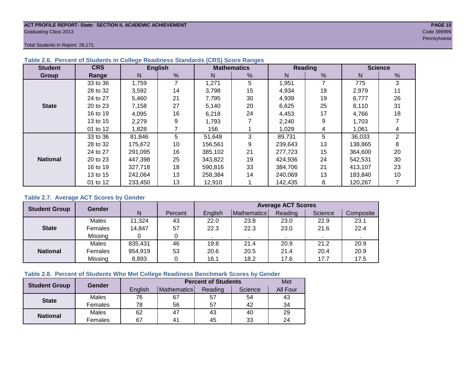#### **ACT PROFILE REPORT- State: SECTION II, ACADEMIC ACHIEVEMENT PAGE 15** Graduating Class 2013 Code 399999

Pennsylvania

Total Students in Report: 26,171

| <b>Student</b>  | <b>CRS</b> |         | <b>English</b> |         | <b>Mathematics</b> |         | Reading |         | <b>Science</b> |
|-----------------|------------|---------|----------------|---------|--------------------|---------|---------|---------|----------------|
| Group           | Range      | N       | %              | N       | %                  | N       | %       | N       | %              |
|                 | 33 to 36   | 1,759   | 7              | 1,271   | 5                  | 1,951   | 7       | 775     | 3              |
|                 | 28 to 32   | 3,592   | 14             | 3,798   | 15                 | 4,934   | 19      | 2,979   | 11             |
|                 | 24 to 27   | 5,460   | 21             | 7,795   | 30                 | 4,939   | 19      | 6,777   | 26             |
| <b>State</b>    | 20 to 23   | 7,158   | 27             | 5,140   | 20                 | 6,625   | 25      | 8.110   | 31             |
|                 | 16 to 19   | 4,095   | 16             | 6,218   | 24                 | 4,453   | 17      | 4,766   | 18             |
|                 | 13 to 15   | 2,279   | 9              | 1,793   |                    | 2,240   | 9       | 1,703   |                |
|                 | 01 to 12   | 1,828   |                | 156     |                    | 1,029   | 4       | 1.061   | 4              |
|                 | 33 to 36   | 81,846  | 5              | 51,648  | 3                  | 89,731  | 5       | 36,033  | $\overline{2}$ |
|                 | 28 to 32   | 175,672 | 10             | 156,561 | 9                  | 239,643 | 13      | 138,865 | 8              |
|                 | 24 to 27   | 291.095 | 16             | 385.102 | 21                 | 277.723 | 15      | 364.600 | 20             |
| <b>National</b> | 20 to 23   | 447,398 | 25             | 343,822 | 19                 | 424,936 | 24      | 542,531 | 30             |
|                 | 16 to 19   | 327,718 | 18             | 590,816 | 33                 | 384.706 | 21      | 413,107 | 23             |
|                 | 13 to 15   | 242,064 | 13             | 258,384 | 14                 | 240.069 | 13      | 183,840 | 10             |
|                 | 01 to 12   | 233,450 | 13             | 12,910  |                    | 142,435 | 8       | 120,267 |                |

#### **Table 2.6. Percent of Students in College Readiness Standards (CRS) Score Ranges**

#### **Table 2.7. Average ACT Scores by Gender**

| <b>Student Group</b> | <b>Gender</b> |         |         | <b>Average ACT Scores</b> |             |         |         |           |  |  |  |  |
|----------------------|---------------|---------|---------|---------------------------|-------------|---------|---------|-----------|--|--|--|--|
|                      |               | N       | Percent | Enalish                   | Mathematics | Reading | Science | Composite |  |  |  |  |
|                      | Males         | 11,324  | 43      | 22.0                      | 23.8        | 23.0    | 22.9    | 23.1      |  |  |  |  |
| <b>State</b>         | Females       | 14,847  | 57      | 22.3                      | 22.3        | 23.0    | 21.6    | 22.4      |  |  |  |  |
|                      | Missing       |         | 0       |                           |             |         |         |           |  |  |  |  |
|                      | Males         | 835,431 | 46      | 19.8                      | 21.4        | 20.9    | 21.2    | 20.9      |  |  |  |  |
| <b>National</b>      | Females       | 954,919 | 53      | 20.6                      | 20.5        | 21.4    | 20.4    | 20.9      |  |  |  |  |
|                      | Missing       | 8,893   | 0       | 16.1                      | 18.2        | 17.6    | 17.7    | 17.5      |  |  |  |  |

#### **Table 2.8. Percent of Students Who Met College Readiness Benchmark Scores by Gender**

| <b>Student Group</b> | Gender  |         | <b>Percent of Students</b> | Met     |         |                 |
|----------------------|---------|---------|----------------------------|---------|---------|-----------------|
|                      |         | English | Mathematics                | Reading | Science | <b>All Four</b> |
| <b>State</b>         | Males   | 76      | 67                         | 57      | 54      | 43              |
|                      | Females | 78      | 56                         | 57      | 42      | 34              |
| <b>National</b>      | Males   | 62      | 47                         | 43      | 40      | 29              |
|                      | Females | 67      | $4^{\prime}$               | 45      | 33      | 24              |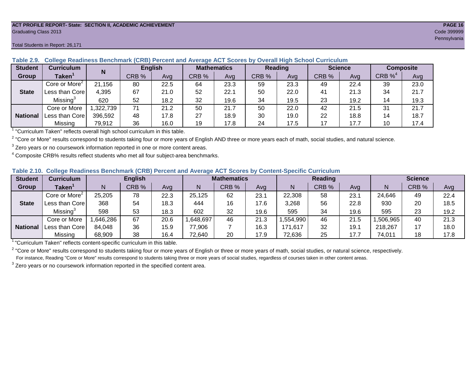#### **ACT PROFILE REPORT- State: SECTION II, ACADEMIC ACHIEVEMENT PAGE 16** Graduating Class 2013 Code 399999

#### Total Students in Report: 26,171

| <b>Student</b>  | <b>Curriculum</b>                                                        | N        | <b>English</b> |      | <b>Mathematics</b> |      | Reading |      |       | <b>Science</b> |          | <b>Composite</b> |
|-----------------|--------------------------------------------------------------------------|----------|----------------|------|--------------------|------|---------|------|-------|----------------|----------|------------------|
| Group           | Taken $^{\scriptscriptstyle\mathsf{T}}$                                  |          | CRB %          | Ava  | CRB %              | Avg  | CRB %   | Avg  | CRB % | Avg            | $CRB\%4$ | Avg              |
|                 | Core or More <sup>2</sup>                                                | 21,156   | 80             | 22.5 | 64                 | 23.3 | 59      | 23.3 | 49    | 22.4           | 39       | 23.0             |
| <b>State</b>    | Less than Core                                                           | 4,395    | 67             | 21.0 | 52                 | 22.7 | 50      | 22.0 | 41    | 21.3           | 34       | 21.7             |
|                 | Missing <sup>3</sup>                                                     | 620      | 52             | 18.2 | 32                 | 19.6 | 34      | 19.5 | 23    | 19.2           | 14       | 19.3             |
|                 | Core or More                                                             | ,322,739 | 71             | 21.2 | 50                 | 21.7 | 50      | 22.0 | 42    | 21.5           | 31       | 21.7             |
| <b>National</b> | Less than Core                                                           | 396,592  | 48             | 17.8 | 27                 | 18.9 | 30      | 19.0 | 22    | 18.8           | 14       | 18.7             |
|                 | Missing                                                                  | 79,912   | 36             | 16.0 | 19                 | 17.8 | 24      | 17.5 | 17    | 17.7           | 10       | 17.4             |
|                 | "Curriculum Token" reflecte overall bigh school ourriculum in this toble |          |                |      |                    |      |         |      |       |                |          |                  |

#### **Table 2.9. College Readiness Benchmark (CRB) Percent and Average ACT Scores by Overall High School Curriculum**

"Curriculum Taken" reflects overall high school curriculum in this table.

 $^2$  "Core or More" results correspond to students taking four or more years of English AND three or more years each of math, social studies, and natural science.

 $3$  Zero years or no coursework information reported in one or more content areas.

 $4$  Composite CRB% results reflect students who met all four subject-area benchmarks.

#### **Table 2.10. College Readiness Benchmark (CRB) Percent and Average ACT Scores by Content-Specific Curriculum**

| <b>Student</b> | <b>Curriculum</b>         |          | <b>English</b> |      |          | <b>Mathematics</b> |      |          | <b>Reading</b> |      |          | <b>Science</b> |      |
|----------------|---------------------------|----------|----------------|------|----------|--------------------|------|----------|----------------|------|----------|----------------|------|
| Group          | <b>Taken</b>              | Ν        | CRB %          | Avg  | N        | CRB %              | Avg  | N        | CRB %          | Avg  | N        | CRB %          | Avg  |
|                | Core or More <sup>2</sup> | 25,205   | 78             | 22.3 | 25,125   | 62                 | 23.1 | 22,308   | 58             | 23.  | 24,646   | 49             | 22.4 |
| <b>State</b>   | Less than Core            | 368      | 54             | 18.3 | 444      | 16                 | 17.6 | 3,268    | 56             | 22.8 | 930      | 20             | 18.5 |
|                | Missing <sup>3</sup>      | 598      | 53             | 18.3 | 602      | 32                 | 19.6 | 595      | 34             | 19.6 | 595      | 23             | 19.2 |
|                | Core or More              | .646.286 | 67             | 20.6 | ,648,697 | 46                 | 21.3 | .554,990 | 46             | 21.5 | .506.965 | 40             | 21.3 |
|                | National   Less than Core | 84,048   | 36             | 15.9 | 77,906   |                    | 16.3 | 171,617  | 32             | 19.7 | 218,267  |                | 18.0 |
|                | Missing                   | 68,909   | 38             | 16.4 | 72,640   | 20                 | 17.9 | 72,636   | 25             | 17.7 | 74,011   | 18             | 17.8 |

<sup>1</sup> "Curriculum Taken" reflects content-specific curriculum in this table.

<sup>2</sup> "Core or More" results correspond to students taking four or more years of English or three or more years of math, social studies, or natural science, respectively. For instance, Reading "Core or More" results correspond to students taking three or more years of social studies, regardless of courses taken in other content areas.

 $3$  Zero years or no coursework information reported in the specified content area.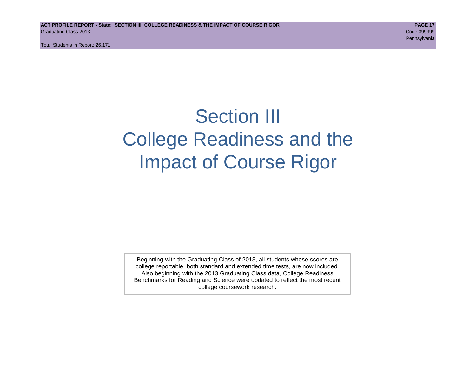Total Students in Report: 26,171

# Section III College Readiness and the Impact of Course Rigor

Beginning with the Graduating Class of 2013, all students whose scores are college reportable, both standard and extended time tests, are now included. Also beginning with the 2013 Graduating Class data, College Readiness Benchmarks for Reading and Science were updated to reflect the most recent college coursework research.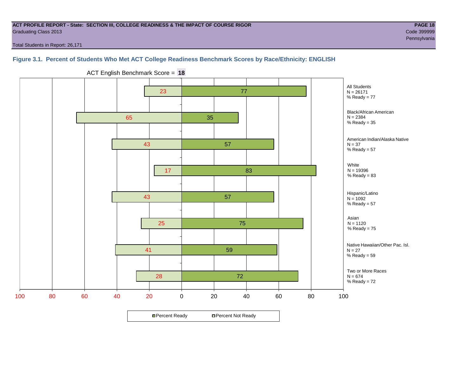#### **ACT PROFILE REPORT - State: SECTION III, COLLEGE READINESS & THE IMPACT OF COURSE RIGOR PAGE 18** Graduating Class 2013 Code 399999

Pennsylvania

Total Students in Report: 26,171

#### **Figure 3.1. Percent of Students Who Met ACT College Readiness Benchmark Scores by Race/Ethnicity: ENGLISH**



ACT English Benchmark Score = **18**

**□ Percent Ready DPercent Not Ready**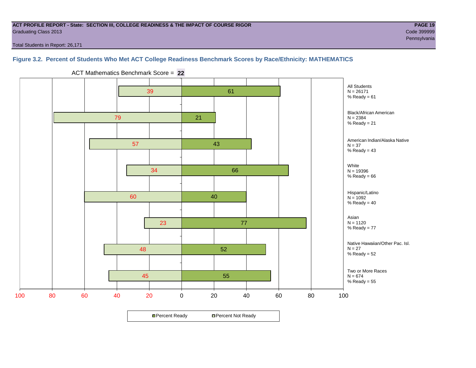#### **ACT PROFILE REPORT - State: SECTION III, COLLEGE READINESS & THE IMPACT OF COURSE RIGOR PAGE 19** Graduating Class 2013 Code 399999

Total Students in Report: 26,171

#### **Figure 3.2. Percent of Students Who Met ACT College Readiness Benchmark Scores by Race/Ethnicity: MATHEMATICS**



ACT Mathematics Benchmark Score = **22**

**□ Percent Ready DPercent Not Ready**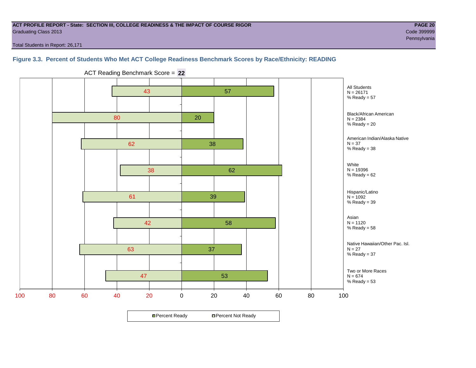#### **ACT PROFILE REPORT - State: SECTION III, COLLEGE READINESS & THE IMPACT OF COURSE RIGOR PAGE 20** Graduating Class 2013 Code 399999

Total Students in Report: 26,171

#### **Figure 3.3. Percent of Students Who Met ACT College Readiness Benchmark Scores by Race/Ethnicity: READING**



ACT Reading Benchmark Score = **22**

**□ Percent Ready DPercent Not Ready**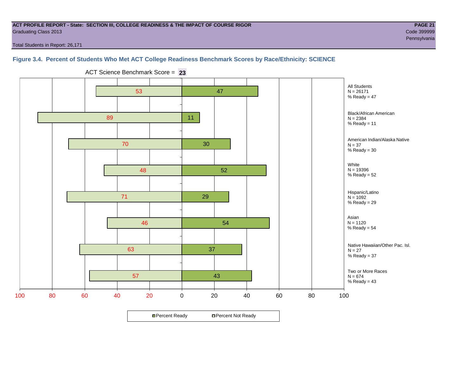#### **ACT PROFILE REPORT - State: SECTION III, COLLEGE READINESS & THE IMPACT OF COURSE RIGOR PAGE 21** Graduating Class 2013 Code 399999

Pennsylvania

Total Students in Report: 26,171

#### **Figure 3.4. Percent of Students Who Met ACT College Readiness Benchmark Scores by Race/Ethnicity: SCIENCE**



ACT Science Benchmark Score = **23**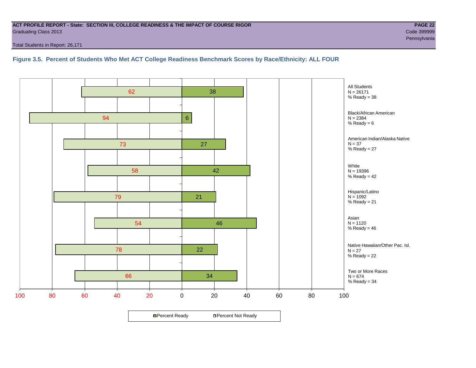#### **ACT PROFILE REPORT - State: SECTION III, COLLEGE READINESS & THE IMPACT OF COURSE RIGOR PAGE 22** Graduating Class 2013 Code 399999

Total Students in Report: 26,171

#### **Figure 3.5. Percent of Students Who Met ACT College Readiness Benchmark Scores by Race/Ethnicity: ALL FOUR**

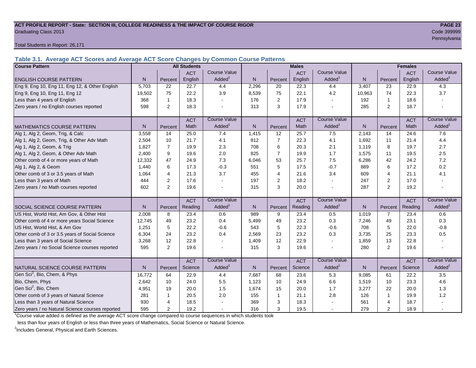#### ACT PROFILE REPORT - State: SECTION III, COLLEGE READINESS & THE IMPACT OF COURSE RIGOR **PAGE 23** Graduating Class 2013 Code 399999

Total Students in Report: 26,171

**Table 3.1. Average ACT Scores and Average ACT Score Changes by Common Course Patterns**

| <b>Course Pattern</b>                            |                |                | <b>All Students</b> |                     |              |                | <b>Males</b> |                     |              |                | <b>Females</b> |                        |
|--------------------------------------------------|----------------|----------------|---------------------|---------------------|--------------|----------------|--------------|---------------------|--------------|----------------|----------------|------------------------|
|                                                  |                |                | <b>ACT</b>          | Course Value        |              |                | <b>ACT</b>   | <b>Course Value</b> |              |                | <b>ACT</b>     | <b>Course Value</b>    |
| <b>ENGLISH COURSE PATTERN</b>                    | N              | Percent        | English             | Added <sup>1</sup>  | $\mathsf{N}$ | Percent        | English      | Added               | $\mathsf{N}$ | Percent        | English        | A d d e d <sup>1</sup> |
| Eng 9, Eng 10, Eng 11, Eng 12, & Other English   | 5,703          | 22             | 22.7                | 4.4                 | 2,296        | 20             | 22.3         | 4.4                 | 3,407        | 23             | 22.9           | 4.3                    |
| Eng 9, Eng 10, Eng 11, Eng 12                    | 19,502         | 75             | 22.2                | 3.9                 | 8,539        | 75             | 22.1         | 4.2                 | 10,963       | 74             | 22.3           | 3.7                    |
| Less than 4 years of English                     | 368            | $\mathbf 1$    | 18.3                |                     | 176          | 2              | 17.9         | $\sim$              | 192          | $\mathbf{1}$   | 18.6           |                        |
| Zero years / no English courses reported         | 598            | 2              | 18.3                |                     | 313          | 3              | 17.9         |                     | 285          | $\overline{2}$ | 18.7           |                        |
|                                                  |                |                | <b>ACT</b>          | <b>Course Value</b> |              |                | <b>ACT</b>   | <b>Course Value</b> |              |                | <b>ACT</b>     | <b>Course Value</b>    |
| <b>MATHEMATICS COURSE PATTERN</b>                | N <sub>1</sub> | Percent        | Math                | Added               | N.           | Percent        | Math         | Added <sup>1</sup>  | N            | Percent        | Math           | Added <sup>1</sup>     |
| Alg 1, Alg 2, Geom, Trig, & Calc                 | 3,558          | 14             | 25.0                | 7.4                 | 1,415        | 12             | 25.7         | 7.5                 | 2,143        | 14             | 24.6           | 7.6                    |
| Alg 1, Alg 2, Geom, Trig, & Other Adv Math       | 2,504          | 10             | 21.7                | 4.1                 | 812          | $\overline{7}$ | 22.3         | 4.1                 | 1,692        | 11             | 21.4           | 4.4                    |
| Alg 1, Alg 2, Geom, & Trig                       | 1,827          | $\overline{7}$ | 19.9                | 2.3                 | 708          | 6              | 20.3         | 2.1                 | 1,119        | 8              | 19.7           | 2.7                    |
| Alg 1, Alg 2, Geom, & Other Adv Math             | 2,400          | 9              | 19.6                | 2.0                 | 825          | $\overline{7}$ | 19.9         | 1.7                 | 1,575        | 11             | 19.5           | 2.5                    |
| Other comb of 4 or more years of Math            | 12,332         | 47             | 24.9                | 7.3                 | 6,046        | 53             | 25.7         | 7.5                 | 6,286        | 42             | 24.2           | 7.2                    |
| Alg 1, Alg 2, & Geom                             | 1,440          | 6              | 17.3                | $-0.3$              | 551          | 5              | 17.5         | $-0.7$              | 889          | 6              | 17.2           | 0.2                    |
| Other comb of 3 or 3.5 years of Math             | 1.064          | 4              | 21.3                | 3.7                 | 455          | $\overline{4}$ | 21.6         | 3.4                 | 609          | $\overline{4}$ | 21.1           | 4.1                    |
| Less than 3 years of Math                        | 444            | $\overline{2}$ | 17.6                |                     | 197          | $\overline{2}$ | 18.2         | $\sim$              | 247          | 2              | 17.0           |                        |
| Zero years / no Math courses reported            | 602            | 2              | 19.6                |                     | 315          | 3              | 20.0         |                     | 287          | $\overline{2}$ | 19.2           |                        |
|                                                  |                |                | <b>ACT</b>          | <b>Course Value</b> |              |                | <b>ACT</b>   | <b>Course Value</b> |              |                | <b>ACT</b>     | <b>Course Value</b>    |
| <b>SOCIAL SCIENCE COURSE PATTERN</b>             | N              | Percent        | Reading             | Added               | N            | Percent        | Reading      | Added               | N            | Percent        | Reading        | A d d e d <sup>1</sup> |
| US Hist, World Hist, Am Gov, & Other Hist        | 2,008          | 8              | 23.4                | 0.6                 | 989          | 9              | 23.4         | 0.5                 | 1,019        | $\overline{7}$ | 23.4           | 0.6                    |
| Other comb of 4 or more years Social Science     | 12.745         | 49             | 23.2                | 0.4                 | 5,499        | 49             | 23.2         | 0.3                 | 7,246        | 49             | 23.1           | 0.3                    |
| US Hist, World Hist, & Am Gov                    | 1,251          | 5              | 22.2                | $-0.6$              | 543          | 5              | 22.3         | $-0.6$              | 708          | 5              | 22.0           | $-0.8$                 |
| Other comb of 3 or 3.5 years of Social Science   | 6,304          | 24             | 23.2                | 0.4                 | 2,569        | 23             | 23.2         | 0.3                 | 3,735        | 25             | 23.3           | 0.5                    |
| Less than 3 years of Social Science              | 3,268          | 12             | 22.8                |                     | 1,409        | 12             | 22.9         | $\sim$              | 1,859        | 13             | 22.8           |                        |
| Zero years / no Social Science courses reported  | 595            | $\overline{2}$ | 19.6                |                     | 315          | 3              | 19.6         | $\blacksquare$      | 280          | $\overline{2}$ | 19.6           | $\blacksquare$         |
|                                                  |                |                | <b>ACT</b>          | <b>Course Value</b> |              |                | <b>ACT</b>   | <b>Course Value</b> |              |                | <b>ACT</b>     | <b>Course Value</b>    |
| NATURAL SCIENCE COURSE PATTERN                   | N <sub>1</sub> | Percent        | Science             | Added               | N            | Percent        | Science      | Added               | N            | Percent        | Science        | A d d e d <sup>1</sup> |
| Gen Sci <sup>2</sup> , Bio, Chem, & Phys         | 16,772         | 64             | 22.9                | 4.4                 | 7,687        | 68             | 23.6         | 5.3                 | 9,085        | 61             | 22.2           | 3.5                    |
| Bio, Chem, Phys                                  | 2.642          | 10             | 24.0                | 5.5                 | 1,123        | 10             | 24.9         | 6.6                 | 1,519        | 10             | 23.3           | 4.6                    |
| Gen Sci <sup>2</sup> , Bio, Chem                 | 4,951          | 19             | 20.0                | 1.5                 | 1,674        | 15             | 20.0         | 1.7                 | 3,277        | 22             | 20.0           | 1.3                    |
| Other comb of 3 years of Natural Science         | 281            |                | 20.5                | 2.0                 | 155          | $\mathbf{1}$   | 21.1         | 2.8                 | 126          | $\mathbf{1}$   | 19.9           | $1.2$                  |
| Less than 3 years of Natural Science             | 930            | 4              | 18.5                |                     | 369          | 3              | 18.3         |                     | 561          | $\overline{4}$ | 18.7           |                        |
| Zero years / no Natural Science courses reported | 595            | 2              | 19.2                |                     | 316          | 3              | 19.5         |                     | 279          | $\overline{2}$ | 18.9           |                        |

<sup>1</sup>Course value added is defined as the average ACT score change compared to course sequences in which students took

less than four years of English or less than three years of Mathematics, Social Science or Natural Science.

<sup>2</sup>Includes General, Physical and Earth Sciences.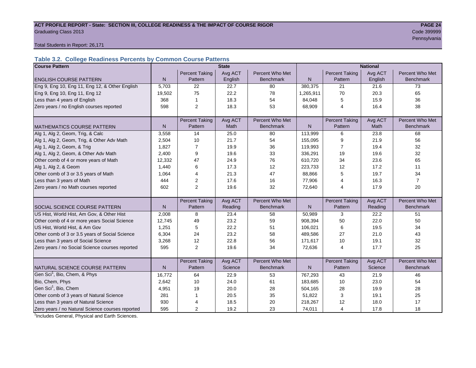# ACT PROFILE REPORT - State: SECTION III, COLLEGE READINESS & THE IMPACT OF COURSE RIGOR **PAGE 24** Graduating Class 2013 Code 399999

Pennsylvania

#### Total Students in Report: 26,171

### **Table 3.2. College Readiness Percents by Common Course Patterns**

| <b>Course Pattern</b>                            |              |                       | <b>State</b> |                  |              |                       | <b>National</b> |                  |
|--------------------------------------------------|--------------|-----------------------|--------------|------------------|--------------|-----------------------|-----------------|------------------|
|                                                  |              | <b>Percent Taking</b> | Avg ACT      | Percent Who Met  |              | <b>Percent Taking</b> | Avg ACT         | Percent Who Met  |
| <b>ENGLISH COURSE PATTERN</b>                    | $\mathsf{N}$ | Pattern               | English      | <b>Benchmark</b> | $\mathsf{N}$ | Pattern               | English         | <b>Benchmark</b> |
| Eng 9, Eng 10, Eng 11, Eng 12, & Other English   | 5,703        | 22                    | 22.7         | 80               | 380,375      | 21                    | 21.6            | 73               |
| Eng 9, Eng 10, Eng 11, Eng 12                    | 19,502       | 75                    | 22.2         | 78               | 1,265,911    | 70                    | 20.3            | 65               |
| Less than 4 years of English                     | 368          | 1                     | 18.3         | 54               | 84,048       | 5                     | 15.9            | 36               |
| Zero years / no English courses reported         | 598          | $\overline{2}$        | 18.3         | 53               | 68,909       | 4                     | 16.4            | 38               |
|                                                  |              |                       |              |                  |              |                       |                 |                  |
|                                                  |              | <b>Percent Taking</b> | Avg ACT      | Percent Who Met  |              | <b>Percent Taking</b> | Avg ACT         | Percent Who Met  |
| <b>MATHEMATICS COURSE PATTERN</b>                | N            | Pattern               | Math         | <b>Benchmark</b> | N            | Pattern               | Math            | <b>Benchmark</b> |
| Alg 1, Alg 2, Geom, Trig, & Calc                 | 3,558        | 14                    | 25.0         | 80               | 113,999      | 6                     | 23.8            | 68               |
| Alg 1, Alg 2, Geom, Trig, & Other Adv Math       | 2,504        | 10                    | 21.7         | 54               | 155,095      | 9                     | 21.9            | 56               |
| Alg 1, Alg 2, Geom, & Trig                       | 1,827        | $\overline{7}$        | 19.9         | 36               | 119,993      | $\overline{7}$        | 19.4            | 32               |
| Alg 1, Alg 2, Geom, & Other Adv Math             | 2,400        | 9                     | 19.6         | 33               | 336,291      | 19                    | 19.6            | 32               |
| Other comb of 4 or more years of Math            | 12,332       | 47                    | 24.9         | 76               | 610,720      | 34                    | 23.6            | 65               |
| Alg 1, Alg 2, & Geom                             | 1,440        | 6                     | 17.3         | 12               | 223,733      | 12                    | 17.2            | 11               |
| Other comb of 3 or 3.5 years of Math             | 1,064        | 4                     | 21.3         | 47               | 88,866       | 5                     | 19.7            | 34               |
| Less than 3 years of Math                        | 444          | 2                     | 17.6         | 16               | 77,906       | 4                     | 16.3            | $\overline{7}$   |
| Zero years / no Math courses reported            | 602          | $\overline{2}$        | 19.6         | 32               | 72,640       | 4                     | 17.9            | 20               |
|                                                  |              |                       |              |                  |              |                       |                 |                  |
|                                                  |              | <b>Percent Taking</b> | Avg ACT      | Percent Who Met  |              | <b>Percent Taking</b> | Avg ACT         | Percent Who Met  |
| SOCIAL SCIENCE COURSE PATTERN                    | $\mathsf{N}$ | Pattern               | Reading      | <b>Benchmark</b> | $\mathsf{N}$ | Pattern               | Reading         | <b>Benchmark</b> |
| US Hist, World Hist, Am Gov, & Other Hist        | 2,008        | 8                     | 23.4         | 58               | 50,989       | 3                     | 22.2            | 51               |
| Other comb of 4 or more years Social Science     | 12,745       | 49                    | 23.2         | 59               | 908,394      | 50                    | 22.0            | 50               |
| US Hist, World Hist, & Am Gov                    | 1,251        | 5                     | 22.2         | 51               | 106,021      | 6                     | 19.5            | 34               |
| Other comb of 3 or 3.5 years of Social Science   | 6,304        | 24                    | 23.2         | 58               | 489,586      | 27                    | 21.0            | 43               |
| Less than 3 years of Social Science              | 3,268        | 12                    | 22.8         | 56               | 171,617      | 10                    | 19.1            | 32               |
| Zero years / no Social Science courses reported  | 595          | 2                     | 19.6         | 34               | 72,636       | $\overline{4}$        | 17.7            | 25               |
|                                                  |              |                       |              |                  |              |                       |                 |                  |
|                                                  |              | <b>Percent Taking</b> | Avg ACT      | Percent Who Met  |              | <b>Percent Taking</b> | Avg ACT         | Percent Who Met  |
| NATURAL SCIENCE COURSE PATTERN                   | N            | Pattern               | Science      | <b>Benchmark</b> | N            | Pattern               | Science         | <b>Benchmark</b> |
| Gen Sci <sup>1</sup> , Bio, Chem, & Phys         | 16,772       | 64                    | 22.9         | 53               | 767,293      | 43                    | 21.9            | 46               |
| Bio, Chem, Phys                                  | 2,642        | 10                    | 24.0         | 61               | 183,685      | 10                    | 23.0            | 54               |
| Gen Sci <sup>1</sup> , Bio, Chem                 | 4,951        | 19                    | 20.0         | 28               | 504,165      | 28                    | 19.9            | 28               |
| Other comb of 3 years of Natural Science         | 281          | 1                     | 20.5         | 35               | 51,822       | 3                     | 19.1            | 25               |
| Less than 3 years of Natural Science             | 930          | 4                     | 18.5         | 20               | 218,267      | 12                    | 18.0            | 17               |
| Zero years / no Natural Science courses reported | 595          | 2                     | 19.2         | 23               | 74,011       | 4                     | 17.8            | 18               |

<sup>1</sup>Includes General, Physical and Earth Sciences.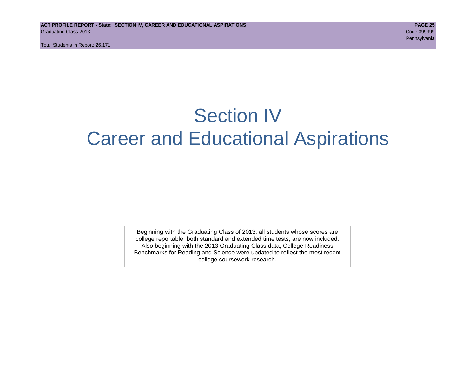Total Students in Report: 26,171

# Section IV Career and Educational Aspirations

Beginning with the Graduating Class of 2013, all students whose scores are college reportable, both standard and extended time tests, are now included. Also beginning with the 2013 Graduating Class data, College Readiness Benchmarks for Reading and Science were updated to reflect the most recent college coursework research.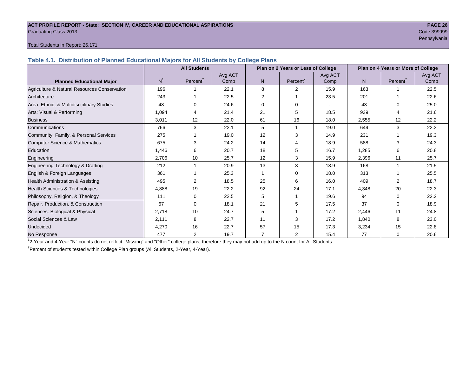#### **ACT PROFILE REPORT - State: SECTION IV, CAREER AND EDUCATIONAL ASPIRATIONS PAGE 26** Graduating Class 2013 Code 399999

Pennsylvania

#### Total Students in Report: 26,171

**Table 4.1. Distribution of Planned Educational Majors for All Students by College Plans**

|                                              | <b>All Students</b><br>Plan on 2 Years or Less of College |                |         |                |             |         | Plan on 4 Years or More of College |                       |         |
|----------------------------------------------|-----------------------------------------------------------|----------------|---------|----------------|-------------|---------|------------------------------------|-----------------------|---------|
|                                              |                                                           |                | Avg ACT |                |             | Avg ACT |                                    |                       | Avg ACT |
| <b>Planned Educational Major</b>             | N <sup>1</sup>                                            | Percent $2$    | Comp    | N              | Percent $2$ | Comp    | N.                                 | Percent <sup>2</sup>  | Comp    |
| Agriculture & Natural Resources Conservation | 196                                                       |                | 22.1    | 8              | 2           | 15.9    | 163                                |                       | 22.5    |
| Architecture                                 | 243                                                       |                | 22.5    | $\overline{2}$ |             | 23.5    | 201                                |                       | 22.6    |
| Area, Ethnic, & Multidisciplinary Studies    | 48                                                        | $\Omega$       | 24.6    | $\Omega$       | 0           |         | 43                                 | $\Omega$              | 25.0    |
| Arts: Visual & Performing                    | 1,094                                                     | 4              | 21.4    | 21             | 5           | 18.5    | 939                                | $\boldsymbol{\Delta}$ | 21.6    |
| <b>Business</b>                              | 3,011                                                     | 12             | 22.0    | 61             | 16          | 18.0    | 2,555                              | 12                    | 22.2    |
| Communications                               | 766                                                       | 3              | 22.1    | 5              |             | 19.0    | 649                                | 3                     | 22.3    |
| Community, Family, & Personal Services       | 275                                                       |                | 19.0    | 12             | 3           | 14.9    | 231                                |                       | 19.3    |
| Computer Science & Mathematics               | 675                                                       | 3              | 24.2    | 14             |             | 18.9    | 588                                | 3                     | 24.3    |
| Education                                    | 1,446                                                     | 6              | 20.7    | 18             | 5           | 16.7    | 1,285                              | 6                     | 20.8    |
| Engineering                                  | 2.706                                                     | 10             | 25.7    | 12             | 3           | 15.9    | 2,396                              | 11                    | 25.7    |
| Engineering Technology & Drafting            | 212                                                       |                | 20.9    | 13             | 3           | 18.9    | 168                                | $\mathbf{1}$          | 21.5    |
| English & Foreign Languages                  | 361                                                       |                | 25.3    |                | $\Omega$    | 18.0    | 313                                |                       | 25.5    |
| <b>Health Administration &amp; Assisting</b> | 495                                                       | 2              | 18.5    | 25             | 6           | 16.0    | 409                                | 2                     | 18.7    |
| Health Sciences & Technologies               | 4,888                                                     | 19             | 22.2    | 92             | 24          | 17.1    | 4,348                              | 20                    | 22.3    |
| Philosophy, Religion, & Theology             | 111                                                       | 0              | 22.5    | 5              |             | 19.6    | 94                                 | $\Omega$              | 22.2    |
| Repair, Production, & Construction           | 67                                                        | $\Omega$       | 18.1    | 21             | 5           | 17.5    | 37                                 | $\Omega$              | 18.9    |
| Sciences: Biological & Physical              | 2,718                                                     | 10             | 24.7    | 5              |             | 17.2    | 2,446                              | 11                    | 24.8    |
| Social Sciences & Law                        | 2,111                                                     | 8              | 22.7    | 11             | 3           | 17.2    | 1,840                              | 8                     | 23.0    |
| Undecided                                    | 4,270                                                     | 16             | 22.7    | 57             | 15          | 17.3    | 3,234                              | 15                    | 22.8    |
| No Response                                  | 477                                                       | $\overline{2}$ | 19.7    | $\overline{7}$ | 2           | 15.4    | 77                                 | 0                     | 20.6    |

1 2-Year and 4-Year "N" counts do not reflect "Missing" and "Other" college plans, therefore they may not add up to the N count for All Students.

<sup>2</sup> Percent of students tested within College Plan groups (All Students, 2-Year, 4-Year).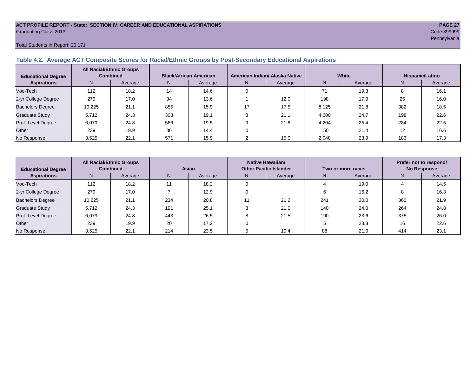#### **ACT PROFILE REPORT - State: SECTION IV, CAREER AND EDUCATIONAL ASPIRATIONS PAGE 27** Graduating Class 2013 Code 399999

#### Total Students in Report: 26,171

#### **Table 4.2. Average ACT Composite Scores for Racial/Ethnic Groups by Post-Secondary Educational Aspirations**

| <b>Educational Degree</b> | <b>All Racial/Ethnic Groups</b><br><b>Combined</b> |         | <b>Black/African American</b> |         |    | American Indian/ Alaska Native |       | White   | Hispanic/Latino   |         |  |
|---------------------------|----------------------------------------------------|---------|-------------------------------|---------|----|--------------------------------|-------|---------|-------------------|---------|--|
| <b>Aspirations</b>        | N                                                  | Average | N.                            | Average | N. | Average                        | N     | Average | N                 | Average |  |
| Voc-Tech                  | 112                                                | 18.2    | 14                            | 14.6    |    |                                | 71    | 19.3    |                   | 16.1    |  |
| 2-yr College Degree       | 279                                                | 17.0    | 34                            | 13.6    |    | 12.0                           | 198   | 17.9    | 25                | 16.0    |  |
| <b>Bachelors Degree</b>   | 10.225                                             | 21.1    | 855                           | 15.9    |    | 17.5                           | 8.125 | 21.8    | 382               | 18.5    |  |
| Graduate Study            | 5.712                                              | 24.3    | 308                           | 19.1    |    | 21.1                           | 4,600 | 24.7    | 198               | 22.6    |  |
| Prof. Level Degree        | 6,079                                              | 24.8    | 566                           | 19.5    |    | 21.6                           | 4,204 | 25.4    | 284               | 22.5    |  |
| Other                     | 239                                                | 19.9    | 36                            | 14.4    |    |                                | 150   | 21.4    | $12 \overline{ }$ | 16.6    |  |
| No Response               | 3,525                                              | 22.1    | 571                           | 15.9    |    | 15.0                           | 2,048 | 23.9    | 183               | 17.3    |  |

| <b>Educational Degree</b> | <b>All Racial/Ethnic Groups</b><br><b>Combined</b> |         | Asian |         |              | Native Hawaiian/<br><b>Other Pacific Islander</b> |     | Two or more races | Prefer not to respond/<br><b>No Response</b> |         |  |
|---------------------------|----------------------------------------------------|---------|-------|---------|--------------|---------------------------------------------------|-----|-------------------|----------------------------------------------|---------|--|
| <b>Aspirations</b>        | N                                                  | Average | N     | Average | Average<br>N |                                                   | N   | Average           | N                                            | Average |  |
| Voc-Tech                  | 112                                                | 18.2    |       | 18.2    |              |                                                   |     | 19.0              |                                              | 14.5    |  |
| 2-yr College Degree       | 279                                                | 17.0    |       | 12.9    |              |                                                   |     | 16.2              | o                                            | 16.3    |  |
| <b>Bachelors Degree</b>   | 10,225                                             | 21.1    | 234   | 20.8    |              | 21.2                                              | 241 | 20.0              | 360                                          | 21.9    |  |
| <b>Graduate Study</b>     | 5,712                                              | 24.3    | 191   | 25.1    |              | 21.0                                              | 140 | 24.0              | 264                                          | 24.8    |  |
| Prof. Level Degree        | 6,079                                              | 24.8    | 443   | 26.5    |              | 21.5                                              | 190 | 23.6              | 375                                          | 26.0    |  |
| Other                     | 239                                                | 19.9    | 20    | 17.2    |              |                                                   |     | 23.8              | 16                                           | 22.6    |  |
| No Response               | 3,525                                              | 22.1    | 214   | 23.5    |              | 19.4                                              | 88  | 21.0              | 414                                          | 23.1    |  |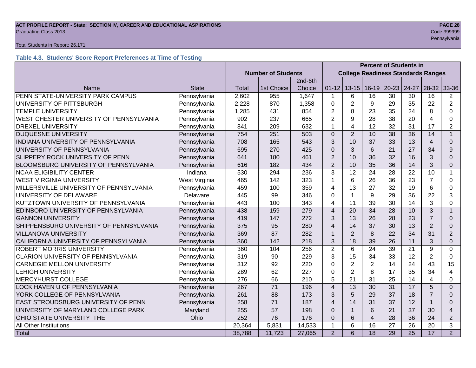# **ACT PROFILE REPORT - State: SECTION IV, CAREER AND EDUCATIONAL ASPIRATIONS** *PAGE 28***<br>Graduating Class 2013 <b>Code 399999** Graduating Class 2013 Code 399999

#### Total Students in Report: 26,171

#### **Table 4.3. Students' Score Report Preferences at Time of Testing**

|                                         |               |                           |                                           | <b>Percent of Students in</b> |                         |                         |                 |           |                 |                |                |
|-----------------------------------------|---------------|---------------------------|-------------------------------------------|-------------------------------|-------------------------|-------------------------|-----------------|-----------|-----------------|----------------|----------------|
|                                         |               | <b>Number of Students</b> | <b>College Readiness Standards Ranges</b> |                               |                         |                         |                 |           |                 |                |                |
|                                         |               | 2nd-6th                   |                                           |                               |                         |                         |                 |           |                 |                |                |
| Name                                    | <b>State</b>  | Total                     | 1st Choice                                | Choice                        | $01 - 12$               | $13 - 15$               | $16-19$         | $20 - 23$ | 24-27           | 28-32          | 33-36          |
| PENN STATE-UNIVERSITY PARK CAMPUS       | Pennsylvania  | 2,602                     | 955                                       | 1,647                         | 1                       | 6                       | 16              | 30        | 30              | 16             | $\overline{2}$ |
| UNIVERSITY OF PITTSBURGH                | Pennsylvania  | 2,228                     | 870                                       | 1,358                         | 0                       | $\overline{2}$          | 9               | 29        | 35              | 22             | $\overline{2}$ |
| <b>TEMPLE UNIVERSITY</b>                | Pennsylvania  | 1,285                     | 431                                       | 854                           | $\overline{2}$          | 8                       | 23              | 35        | 24              | 8              | $\Omega$       |
| WEST CHESTER UNIVERSITY OF PENNSYLVANIA | Pennsylvania  | 902                       | 237                                       | 665                           | $\overline{2}$          | 9                       | 28              | 38        | 20              | $\overline{4}$ | $\Omega$       |
| <b>DREXEL UNIVERSITY</b>                | Pennsylvania  | 841                       | 209                                       | 632                           | 1                       | $\overline{\mathbf{4}}$ | 12              | 32        | 31              | 17             | $\overline{2}$ |
| <b>DUQUESNE UNIVERSITY</b>              | Pennsylvania  | 754                       | 251                                       | 503                           | $\Omega$                | $\overline{2}$          | 10              | 38        | 36              | 14             | $\mathbf{1}$   |
| INDIANA UNIVERSITY OF PENNSYLVANIA      | Pennsylvania  | 708                       | 165                                       | 543                           | 3                       | 10                      | 37              | 33        | 13              | $\overline{4}$ | $\Omega$       |
| UNIVERSITY OF PENNSYLVANIA              | Pennsylvania  | 695                       | 270                                       | 425                           | $\overline{0}$          | 3                       | 6               | 21        | 27              | 34             | 9              |
| SLIPPERY ROCK UNIVERSITY OF PENN        | Pennsylvania  | 641                       | 180                                       | 461                           | $\overline{2}$          | 10                      | 36              | 32        | 16              | 3              | $\Omega$       |
| BLOOMSBURG UNIVERSITY OF PENNSYLVANIA   | Pennsylvania  | 616                       | 182                                       | 434                           | $\overline{2}$          | 10                      | 35              | 36        | 14              | 3              | $\Omega$       |
| <b>NCAA ELIGIBILITY CENTER</b>          | Indiana       | 530                       | 294                                       | 236                           | 3                       | 12                      | 24              | 28        | 22              | 10             | 1              |
| <b>WEST VIRGINIA UNIVERSITY</b>         | West Virginia | 465                       | 142                                       | 323                           | 1                       | 6                       | 26              | 36        | 23              | $\overline{7}$ | 0              |
| MILLERSVILLE UNIVERSITY OF PENNSYLVANIA | Pennsylvania  | 459                       | 100                                       | 359                           | 4                       | 13                      | 27              | 32        | 19              | 6              | $\Omega$       |
| UNIVERSITY OF DELAWARE                  | Delaware      | 445                       | 99                                        | 346                           | 0                       | $\mathbf{1}$            | 9               | 29        | 36              | 22             | 3              |
| KUTZTOWN UNIVERSITY OF PENNSYLVANIA     | Pennsylvania  | 443                       | 100                                       | 343                           | $\overline{\mathbf{4}}$ | 11                      | 39              | 30        | 14              | 3              | 0              |
| EDINBORO UNIVERSITY OF PENNSYLVANIA     | Pennsylvania  | 438                       | 159                                       | 279                           | $\overline{4}$          | 20                      | 34              | 28        | 10              | 3              | $\overline{1}$ |
| <b>GANNON UNIVERSITY</b>                | Pennsylvania  | 419                       | 147                                       | 272                           | 3                       | 13                      | 26              | 28        | 23              | $\overline{7}$ | $\Omega$       |
| SHIPPENSBURG UNIVERSITY OF PENNSYLVANIA | Pennsylvania  | 375                       | 95                                        | 280                           | $\overline{\mathbf{A}}$ | 14                      | 37              | 30        | 13              | $\overline{2}$ | $\Omega$       |
| <b>VILLANOVA UNIVERSITY</b>             | Pennsylvania  | 369                       | 87                                        | 282                           | $\mathbf{1}$            | $\overline{2}$          | 8               | 22        | 34              | 31             | $\overline{2}$ |
| CALIFORNIA UNIVERSITY OF PENNSYLVANIA   | Pennsylvania  | 360                       | 142                                       | 218                           | 3                       | 18                      | 39              | 26        | 11              | 3              | $\overline{0}$ |
| <b>ROBERT MORRIS UNIVERSITY</b>         | Pennsylvania  | 360                       | 104                                       | 256                           | $\overline{2}$          | 6                       | 24              | 39        | 21              | 9              | $\Omega$       |
| CLARION UNIVERSITY OF PENNSYLVANIA      | Pennsylvania  | 319                       | 90                                        | 229                           | 3                       | 15                      | 34              | 33        | 12              | $\overline{2}$ | $\Omega$       |
| <b>CARNEGIE MELLON UNIVERSITY</b>       | Pennsylvania  | 312                       | 92                                        | 220                           | 0                       | $\overline{2}$          | $\overline{2}$  | 14        | 24              | 43             | 15             |
| <b>LEHIGH UNIVERSITY</b>                | Pennsylvania  | 289                       | 62                                        | 227                           | $\Omega$                | $\overline{2}$          | 8               | 17        | 35              | 34             | 4              |
| <b>MERCYHURST COLLEGE</b>               | Pennsylvania  | 276                       | 66                                        | 210                           | 5                       | 21                      | 31              | 25        | 14              | 4              | $\Omega$       |
| LOCK HAVEN U OF PENNSYLVANIA            | Pennsylvania  | 267                       | $\overline{71}$                           | 196                           | $\overline{\mathbf{A}}$ | 13                      | $\overline{30}$ | 31        | 17              | 5              | $\overline{0}$ |
| YORK COLLEGE OF PENNSYLVANIA            | Pennsylvania  | 261                       | 88                                        | 173                           | 3                       | 5                       | 29              | 37        | 18              | $\overline{7}$ | $\Omega$       |
| EAST STROUDSBURG UNIVERSITY OF PENN     | Pennsylvania  | 258                       | 71                                        | 187                           | $\overline{4}$          | 14                      | 31              | 37        | 12              |                | $\Omega$       |
| UNIVERSITY OF MARYLAND COLLEGE PARK     | Maryland      | 255                       | 57                                        | 198                           | $\Omega$                | $\mathbf{1}$            | 6               | 21        | 37              | 30             | $\overline{4}$ |
| OHIO STATE UNIVERSITY THE               | Ohio          | 252                       | 76                                        | 176                           | $\Omega$                | 6                       | $\overline{4}$  | 28        | 36              | 24             | $\overline{2}$ |
| All Other Institutions                  |               | 20,364                    | 5,831                                     | 14,533                        | $\mathbf 1$             | 6                       | 16              | 27        | 26              | 20             | 3              |
| Total                                   |               | 38,788                    | 11,723                                    | 27,065                        | $\overline{2}$          | 6                       | $\overline{18}$ | 29        | $\overline{25}$ | 17             | $\overline{2}$ |

Pennsylvania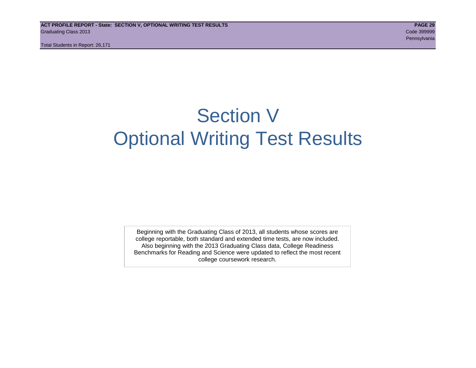# Section V Optional Writing Test Results

Beginning with the Graduating Class of 2013, all students whose scores are college reportable, both standard and extended time tests, are now included. Also beginning with the 2013 Graduating Class data, College Readiness Benchmarks for Reading and Science were updated to reflect the most recent college coursework research.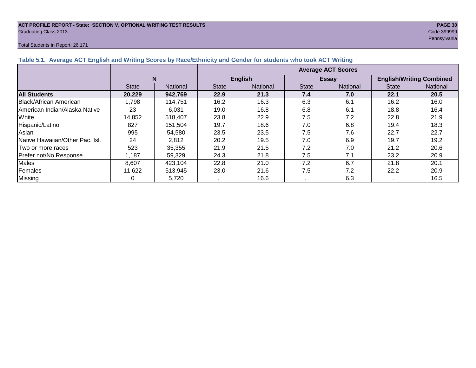#### **ACT PROFILE REPORT - State: SECTION V, OPTIONAL WRITING TEST RESULTS PAGE 30** Graduating Class 2013 Code 399999

#### Total Students in Report: 26,171

Pennsylvania

|                                        |              |                 | <b>Average ACT Scores</b> |                 |              |                 |                                 |          |  |  |  |
|----------------------------------------|--------------|-----------------|---------------------------|-----------------|--------------|-----------------|---------------------------------|----------|--|--|--|
|                                        | N            |                 |                           | <b>English</b>  |              | <b>Essay</b>    | <b>English/Writing Combined</b> |          |  |  |  |
|                                        | <b>State</b> | <b>National</b> | <b>State</b>              | <b>National</b> | <b>State</b> | <b>National</b> | <b>State</b>                    | National |  |  |  |
| <b>All Students</b>                    | 20,229       | 942,769         | 22.9                      | 21.3            | 7.4          | 7.0             | 22.1                            | 20.5     |  |  |  |
| Black/African American                 | 1,798        | 114,751         | 16.2                      | 16.3            | 6.3          | 6.1             | 16.2                            | 16.0     |  |  |  |
| American Indian/Alaska Native          | 23           | 6,031           | 19.0                      | 16.8            | 6.8          | 6.1             | 18.8                            | 16.4     |  |  |  |
| White                                  | 14,852       | 518,407         | 23.8                      | 22.9            | 7.5          | 7.2             | 22.8                            | 21.9     |  |  |  |
| Hispanic/Latino                        | 827          | 151,504         | 19.7                      | 18.6            | 7.0          | 6.8             | 19.4                            | 18.3     |  |  |  |
| Asian                                  | 995          | 54,580          | 23.5                      | 23.5            | 7.5          | 7.6             | 22.7                            | 22.7     |  |  |  |
| <b>Native Hawaiian/Other Pac. Isl.</b> | 24           | 2,812           | 20.2                      | 19.5            | 7.0          | 6.9             | 19.7                            | 19.2     |  |  |  |
| Two or more races                      | 523          | 35,355          | 21.9                      | 21.5            | 7.2          | 7.0             | 21.2                            | 20.6     |  |  |  |
| Prefer not/No Response                 | 1,187        | 59,329          | 24.3                      | 21.8            | 7.5          | 7.1             | 23.2                            | 20.9     |  |  |  |
| <b>Males</b>                           | 8,607        | 423,104         | 22.8                      | 21.0            | 7.2          | 6.7             | 21.8                            | 20.1     |  |  |  |
| Females                                | 11,622       | 513,945         | 23.0                      | 21.6            | 7.5          | 7.2             | 22.2                            | 20.9     |  |  |  |
| <b>Missing</b>                         |              | 5,720           |                           | 16.6            |              | 6.3             |                                 | 16.5     |  |  |  |

#### **Table 5.1. Average ACT English and Writing Scores by Race/Ethnicity and Gender for students who took ACT Writing**